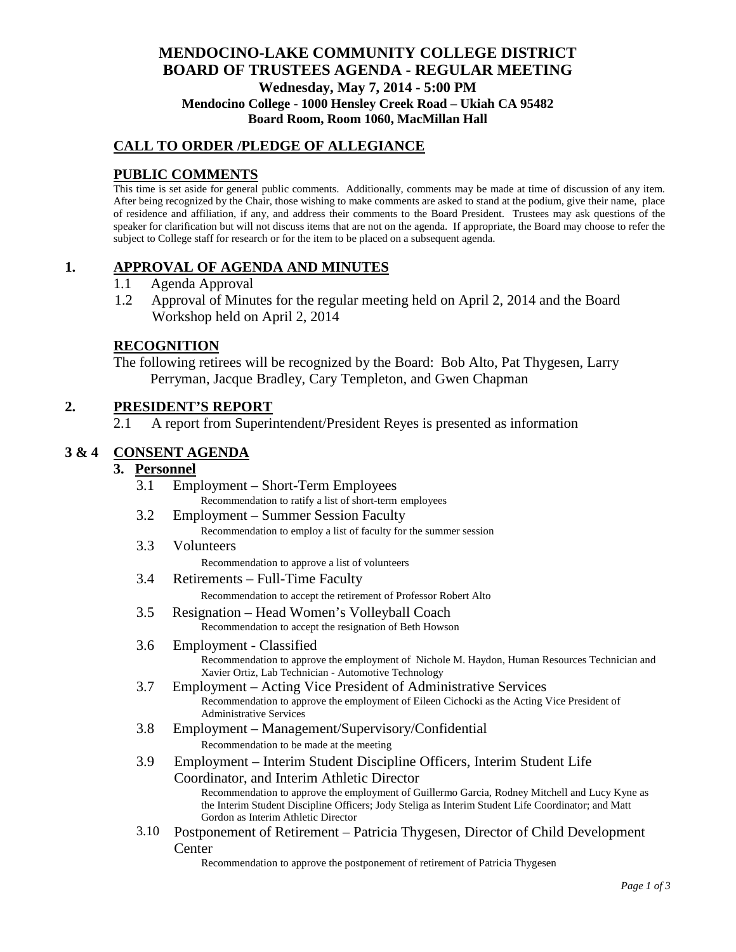### **MENDOCINO-LAKE COMMUNITY COLLEGE DISTRICT BOARD OF TRUSTEES AGENDA** - **REGULAR MEETING Wednesday, May 7, 2014 - 5:00 PM Mendocino College - 1000 Hensley Creek Road – Ukiah CA 95482 Board Room, Room 1060, MacMillan Hall**

### **CALL TO ORDER /PLEDGE OF ALLEGIANCE**

### **PUBLIC COMMENTS**

This time is set aside for general public comments. Additionally, comments may be made at time of discussion of any item. After being recognized by the Chair, those wishing to make comments are asked to stand at the podium, give their name, place of residence and affiliation, if any, and address their comments to the Board President. Trustees may ask questions of the speaker for clarification but will not discuss items that are not on the agenda. If appropriate, the Board may choose to refer the subject to College staff for research or for the item to be placed on a subsequent agenda.

### **1. APPROVAL OF AGENDA AND MINUTES**

- 1.1 Agenda Approval
- 1.2 Approval of Minutes for the regular meeting held on April 2, 2014 and the Board Workshop held on April 2, 2014

## **RECOGNITION**

The following retirees will be recognized by the Board: Bob Alto, Pat Thygesen, Larry Perryman, Jacque Bradley, Cary Templeton, and Gwen Chapman

### **2. PRESIDENT'S REPORT**

2.1 A report from Superintendent/President Reyes is presented as information

### **3 & 4 CONSENT AGENDA**

#### **3. Personnel**

- 3.1 Employment Short-Term Employees Recommendation to ratify a list of short-term employees
- 3.2 Employment Summer Session Faculty Recommendation to employ a list of faculty for the summer session
- 3.3 Volunteers

Recommendation to approve a list of volunteers

3.4 Retirements – Full-Time Faculty

Recommendation to accept the retirement of Professor Robert Alto

3.5 Resignation – Head Women's Volleyball Coach Recommendation to accept the resignation of Beth Howson

#### 3.6 Employment - Classified Recommendation to approve the employment of Nichole M. Haydon, Human Resources Technician and Xavier Ortiz, Lab Technician - Automotive Technology

- 3.7 Employment Acting Vice President of Administrative Services Recommendation to approve the employment of Eileen Cichocki as the Acting Vice President of Administrative Services
- 3.8 Employment Management/Supervisory/Confidential Recommendation to be made at the meeting
- 3.9 Employment Interim Student Discipline Officers, Interim Student Life Coordinator, and Interim Athletic Director

Recommendation to approve the employment of Guillermo Garcia, Rodney Mitchell and Lucy Kyne as the Interim Student Discipline Officers; Jody Steliga as Interim Student Life Coordinator; and Matt Gordon as Interim Athletic Director

3.10 Postponement of Retirement – Patricia Thygesen, Director of Child Development Center

Recommendation to approve the postponement of retirement of Patricia Thygesen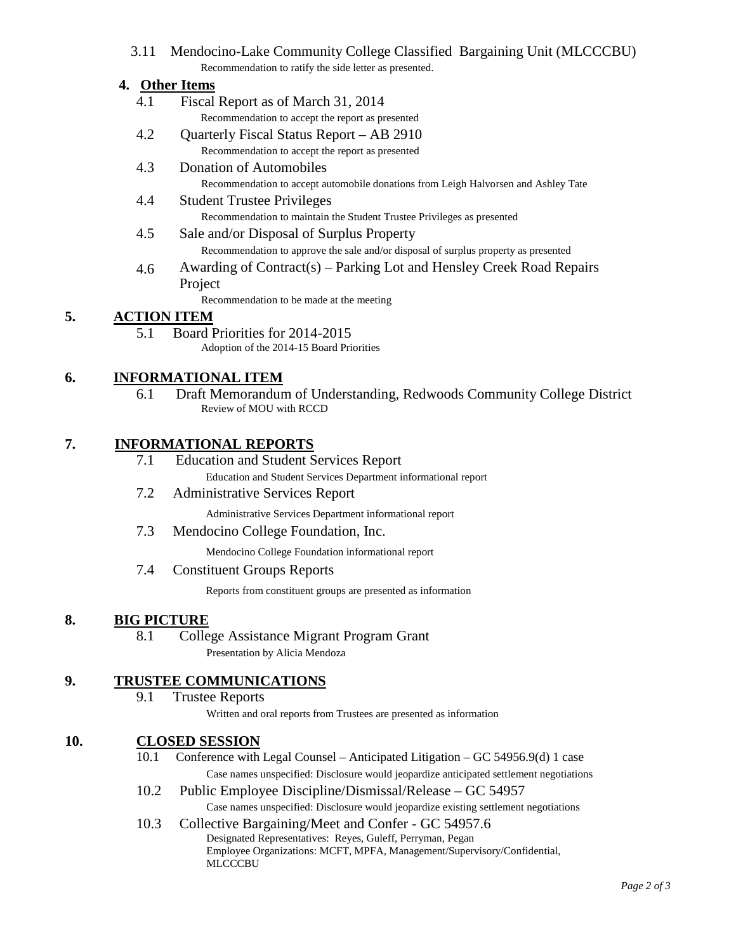3.11 Mendocino-Lake Community College Classified Bargaining Unit (MLCCCBU) Recommendation to ratify the side letter as presented.

### **4. Other Items**

- 4.1 Fiscal Report as of March 31, 2014 Recommendation to accept the report as presented
- 4.2 Quarterly Fiscal Status Report AB 2910 Recommendation to accept the report as presented
- 4.3 Donation of Automobiles Recommendation to accept automobile donations from Leigh Halvorsen and Ashley Tate
- 4.4 Student Trustee Privileges Recommendation to maintain the Student Trustee Privileges as presented
- 4.5 Sale and/or Disposal of Surplus Property Recommendation to approve the sale and/or disposal of surplus property as presented
- 4.6 Awarding of Contract(s) Parking Lot and Hensley Creek Road Repairs Project

Recommendation to be made at the meeting

# **5. ACTION ITEM**

5.1 Board Priorities for 2014-2015 Adoption of the 2014-15 Board Priorities

## **6. INFORMATIONAL ITEM**

6.1 Draft Memorandum of Understanding, Redwoods Community College District Review of MOU with RCCD

### **7. INFORMATIONAL REPORTS**

- 7.1 Education and Student Services Report Education and Student Services Department informational report
- 7.2 Administrative Services Report
	- Administrative Services Department informational report
- 7.3 Mendocino College Foundation, Inc.
	- Mendocino College Foundation informational report
- 7.4 Constituent Groups Reports

Reports from constituent groups are presented as information

### **8. BIG PICTURE**

8.1 College Assistance Migrant Program Grant Presentation by Alicia Mendoza

## **9. TRUSTEE COMMUNICATIONS**

9.1 Trustee Reports

Written and oral reports from Trustees are presented as information

### **10. CLOSED SESSION**

- 10.1 Conference with Legal Counsel Anticipated Litigation GC 54956.9(d) 1 case Case names unspecified: Disclosure would jeopardize anticipated settlement negotiations
- 10.2 Public Employee Discipline/Dismissal/Release GC 54957 Case names unspecified: Disclosure would jeopardize existing settlement negotiations

# 10.3 Collective Bargaining/Meet and Confer - GC 54957.6

Designated Representatives: Reyes, Guleff, Perryman, Pegan Employee Organizations: MCFT, MPFA, Management/Supervisory/Confidential, **MLCCCBU**